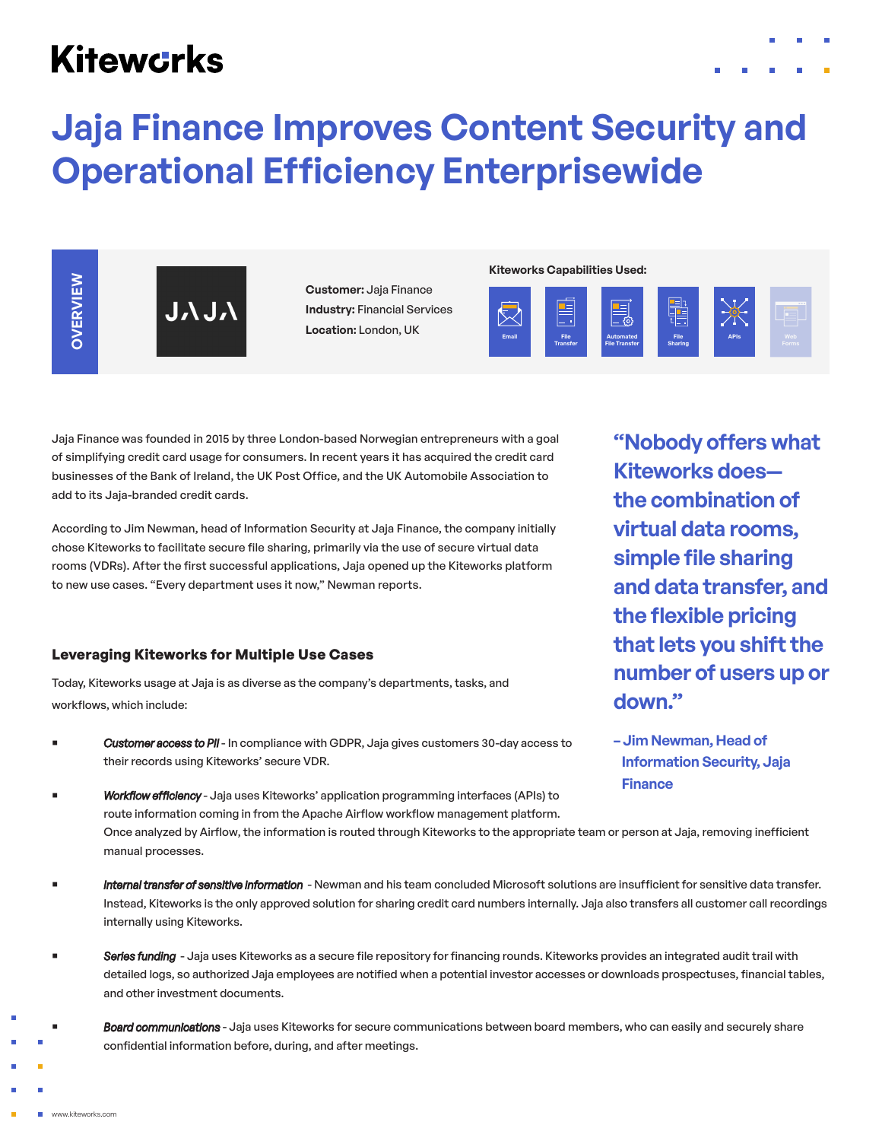# **Kitewcrks**

# **Jaja Finance Improves Content Security and Operational Efficiency Enterprisewide**

**OVERVIEW** OVERVIEW



**Customer:** Jaja Finance **Industry:** Financial Services **Location:** London, UK

#### **Kiteworks Capabilities Used:**



Jaja Finance was founded in 2015 by three London-based Norwegian entrepreneurs with a goal of simplifying credit card usage for consumers. In recent years it has acquired the credit card businesses of the Bank of Ireland, the UK Post Office, and the UK Automobile Association to add to its Jaja-branded credit cards.

According to Jim Newman, head of Information Security at Jaja Finance, the company initially chose Kiteworks to facilitate secure file sharing, primarily via the use of secure virtual data rooms (VDRs). After the first successful applications, Jaja opened up the Kiteworks platform to new use cases. "Every department uses it now," Newman reports.

#### **Leveraging Kiteworks for Multiple Use Cases**

Today, Kiteworks usage at Jaja is as diverse as the company's departments, tasks, and workflows, which include:

- **EXECUST CUSTOMER ACCESS TO PII** In compliance with GDPR, Jaja gives customers 30-day access to their records using Kiteworks' secure VDR.
- **Workflow efficiency** Jaja uses Kiteworks' application programming interfaces (APIs) to route information coming in from the Apache Airflow workflow management platform. Once analyzed by Airflow, the information is routed through Kiteworks to the appropriate team or person at Jaja, removing inefficient manual processes.
- **Internal transfer of sensitive information** Newman and his team concluded Microsoft solutions are insufficient for sensitive data transfer. Instead, Kiteworks is the only approved solution for sharing credit card numbers internally. Jaja also transfers all customer call recordings internally using Kiteworks.
- **Series funding** Jaja uses Kiteworks as a secure file repository for financing rounds. Kiteworks provides an integrated audit trail with detailed logs, so authorized Jaja employees are notified when a potential investor accesses or downloads prospectuses, financial tables, and other investment documents.
- Board communications Jaja uses Kiteworks for secure communications between board members, who can easily and securely share confidential information before, during, and after meetings.

**"Nobody offers what Kiteworks does the combination of virtual data rooms, simple file sharing and data transfer, and the flexible pricing that lets you shift the number of users up or down."**

**– Jim Newman, Head of Information Security, Jaja Finance**

www.kiteworks.com